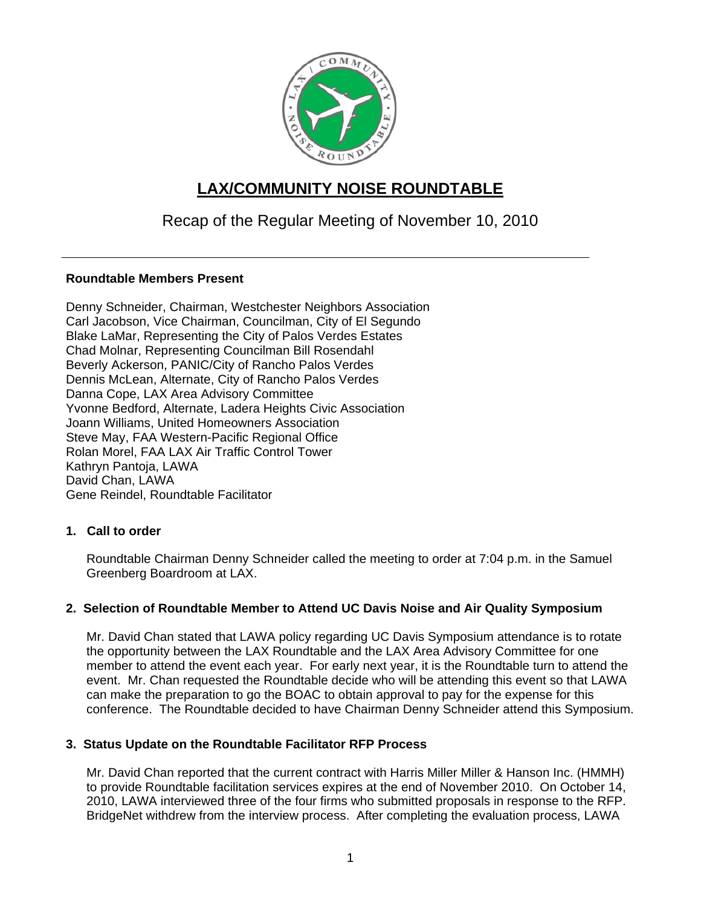

# **LAX/COMMUNITY NOISE ROUNDTABLE**

## Recap of the Regular Meeting of November 10, 2010

## **Roundtable Members Present**

Denny Schneider, Chairman, Westchester Neighbors Association Carl Jacobson, Vice Chairman, Councilman, City of El Segundo Blake LaMar, Representing the City of Palos Verdes Estates Chad Molnar, Representing Councilman Bill Rosendahl Beverly Ackerson, PANIC/City of Rancho Palos Verdes Dennis McLean, Alternate, City of Rancho Palos Verdes Danna Cope, LAX Area Advisory Committee Yvonne Bedford, Alternate, Ladera Heights Civic Association Joann Williams, United Homeowners Association Steve May, FAA Western-Pacific Regional Office Rolan Morel, FAA LAX Air Traffic Control Tower Kathryn Pantoja, LAWA David Chan, LAWA Gene Reindel, Roundtable Facilitator

## **1. Call to order**

Roundtable Chairman Denny Schneider called the meeting to order at 7:04 p.m. in the Samuel Greenberg Boardroom at LAX.

## **2. Selection of Roundtable Member to Attend UC Davis Noise and Air Quality Symposium**

Mr. David Chan stated that LAWA policy regarding UC Davis Symposium attendance is to rotate the opportunity between the LAX Roundtable and the LAX Area Advisory Committee for one member to attend the event each year. For early next year, it is the Roundtable turn to attend the event. Mr. Chan requested the Roundtable decide who will be attending this event so that LAWA can make the preparation to go the BOAC to obtain approval to pay for the expense for this conference. The Roundtable decided to have Chairman Denny Schneider attend this Symposium.

## **3. Status Update on the Roundtable Facilitator RFP Process**

Mr. David Chan reported that the current contract with Harris Miller Miller & Hanson Inc. (HMMH) to provide Roundtable facilitation services expires at the end of November 2010. On October 14, 2010, LAWA interviewed three of the four firms who submitted proposals in response to the RFP. BridgeNet withdrew from the interview process. After completing the evaluation process, LAWA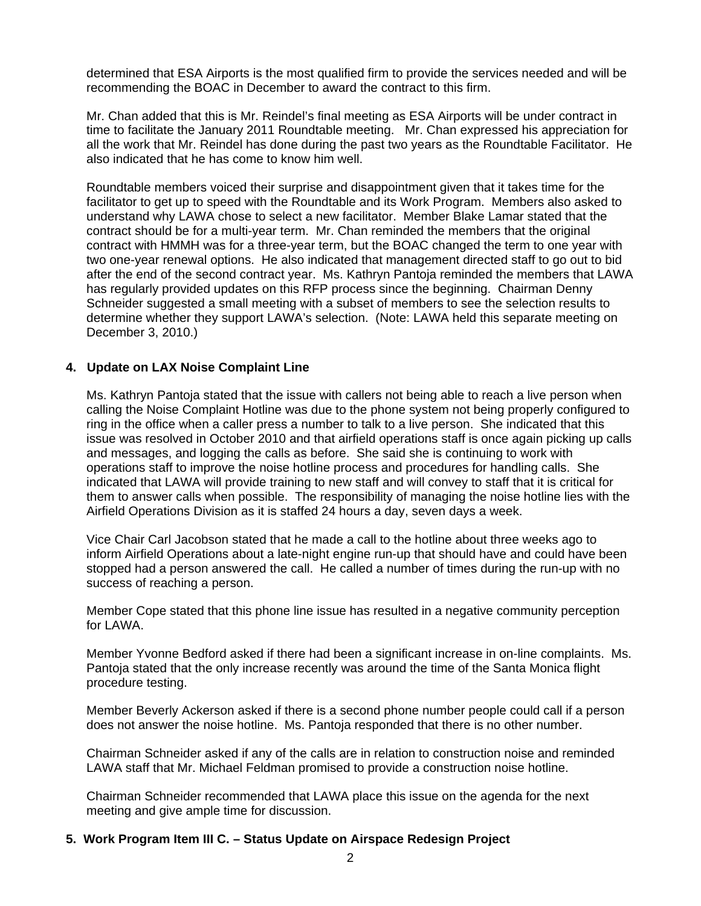determined that ESA Airports is the most qualified firm to provide the services needed and will be recommending the BOAC in December to award the contract to this firm.

Mr. Chan added that this is Mr. Reindel's final meeting as ESA Airports will be under contract in time to facilitate the January 2011 Roundtable meeting. Mr. Chan expressed his appreciation for all the work that Mr. Reindel has done during the past two years as the Roundtable Facilitator. He also indicated that he has come to know him well.

Roundtable members voiced their surprise and disappointment given that it takes time for the facilitator to get up to speed with the Roundtable and its Work Program. Members also asked to understand why LAWA chose to select a new facilitator. Member Blake Lamar stated that the contract should be for a multi-year term. Mr. Chan reminded the members that the original contract with HMMH was for a three-year term, but the BOAC changed the term to one year with two one-year renewal options. He also indicated that management directed staff to go out to bid after the end of the second contract year. Ms. Kathryn Pantoja reminded the members that LAWA has regularly provided updates on this RFP process since the beginning. Chairman Denny Schneider suggested a small meeting with a subset of members to see the selection results to determine whether they support LAWA's selection. (Note: LAWA held this separate meeting on December 3, 2010.)

## **4. Update on LAX Noise Complaint Line**

Ms. Kathryn Pantoja stated that the issue with callers not being able to reach a live person when calling the Noise Complaint Hotline was due to the phone system not being properly configured to ring in the office when a caller press a number to talk to a live person. She indicated that this issue was resolved in October 2010 and that airfield operations staff is once again picking up calls and messages, and logging the calls as before. She said she is continuing to work with operations staff to improve the noise hotline process and procedures for handling calls. She indicated that LAWA will provide training to new staff and will convey to staff that it is critical for them to answer calls when possible. The responsibility of managing the noise hotline lies with the Airfield Operations Division as it is staffed 24 hours a day, seven days a week.

Vice Chair Carl Jacobson stated that he made a call to the hotline about three weeks ago to inform Airfield Operations about a late-night engine run-up that should have and could have been stopped had a person answered the call. He called a number of times during the run-up with no success of reaching a person.

Member Cope stated that this phone line issue has resulted in a negative community perception for LAWA.

Member Yvonne Bedford asked if there had been a significant increase in on-line complaints. Ms. Pantoja stated that the only increase recently was around the time of the Santa Monica flight procedure testing.

Member Beverly Ackerson asked if there is a second phone number people could call if a person does not answer the noise hotline. Ms. Pantoja responded that there is no other number.

Chairman Schneider asked if any of the calls are in relation to construction noise and reminded LAWA staff that Mr. Michael Feldman promised to provide a construction noise hotline.

Chairman Schneider recommended that LAWA place this issue on the agenda for the next meeting and give ample time for discussion.

#### **5. Work Program Item III C. – Status Update on Airspace Redesign Project**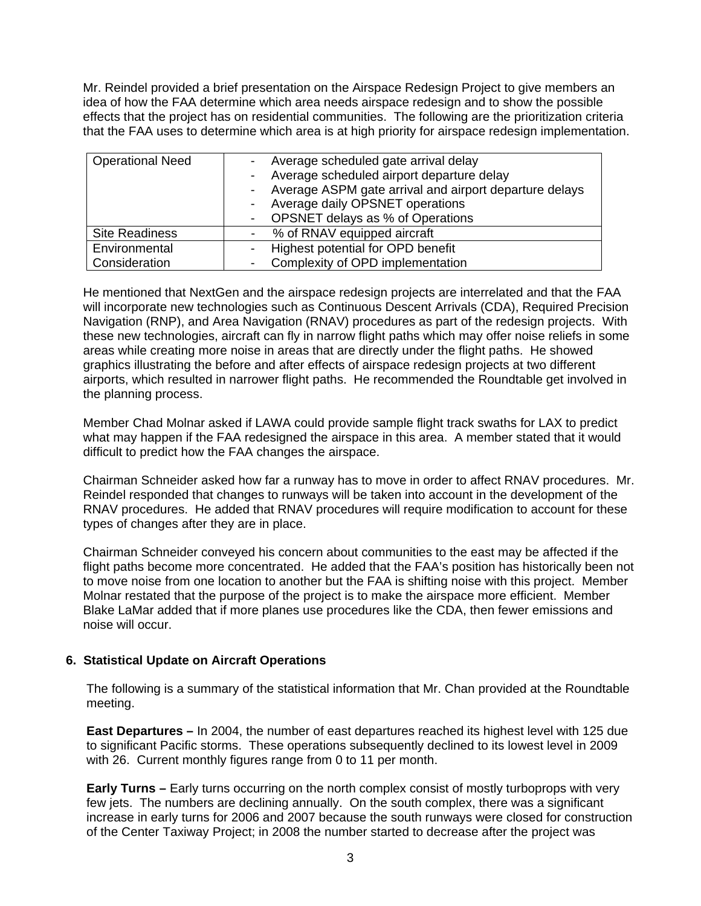Mr. Reindel provided a brief presentation on the Airspace Redesign Project to give members an idea of how the FAA determine which area needs airspace redesign and to show the possible effects that the project has on residential communities. The following are the prioritization criteria that the FAA uses to determine which area is at high priority for airspace redesign implementation.

| <b>Operational Need</b> | Average scheduled gate arrival delay<br>Average scheduled airport departure delay<br>Average ASPM gate arrival and airport departure delays<br>Average daily OPSNET operations<br>- OPSNET delays as % of Operations |
|-------------------------|----------------------------------------------------------------------------------------------------------------------------------------------------------------------------------------------------------------------|
| <b>Site Readiness</b>   | % of RNAV equipped aircraft                                                                                                                                                                                          |
| Environmental           | Highest potential for OPD benefit                                                                                                                                                                                    |
| Consideration           | Complexity of OPD implementation                                                                                                                                                                                     |

He mentioned that NextGen and the airspace redesign projects are interrelated and that the FAA will incorporate new technologies such as Continuous Descent Arrivals (CDA), Required Precision Navigation (RNP), and Area Navigation (RNAV) procedures as part of the redesign projects. With these new technologies, aircraft can fly in narrow flight paths which may offer noise reliefs in some areas while creating more noise in areas that are directly under the flight paths. He showed graphics illustrating the before and after effects of airspace redesign projects at two different airports, which resulted in narrower flight paths. He recommended the Roundtable get involved in the planning process.

Member Chad Molnar asked if LAWA could provide sample flight track swaths for LAX to predict what may happen if the FAA redesigned the airspace in this area. A member stated that it would difficult to predict how the FAA changes the airspace.

Chairman Schneider asked how far a runway has to move in order to affect RNAV procedures. Mr. Reindel responded that changes to runways will be taken into account in the development of the RNAV procedures. He added that RNAV procedures will require modification to account for these types of changes after they are in place.

Chairman Schneider conveyed his concern about communities to the east may be affected if the flight paths become more concentrated. He added that the FAA's position has historically been not to move noise from one location to another but the FAA is shifting noise with this project. Member Molnar restated that the purpose of the project is to make the airspace more efficient. Member Blake LaMar added that if more planes use procedures like the CDA, then fewer emissions and noise will occur.

## **6. Statistical Update on Aircraft Operations**

The following is a summary of the statistical information that Mr. Chan provided at the Roundtable meeting.

**East Departures –** In 2004, the number of east departures reached its highest level with 125 due to significant Pacific storms. These operations subsequently declined to its lowest level in 2009 with 26. Current monthly figures range from 0 to 11 per month.

**Early Turns –** Early turns occurring on the north complex consist of mostly turboprops with very few jets. The numbers are declining annually. On the south complex, there was a significant increase in early turns for 2006 and 2007 because the south runways were closed for construction of the Center Taxiway Project; in 2008 the number started to decrease after the project was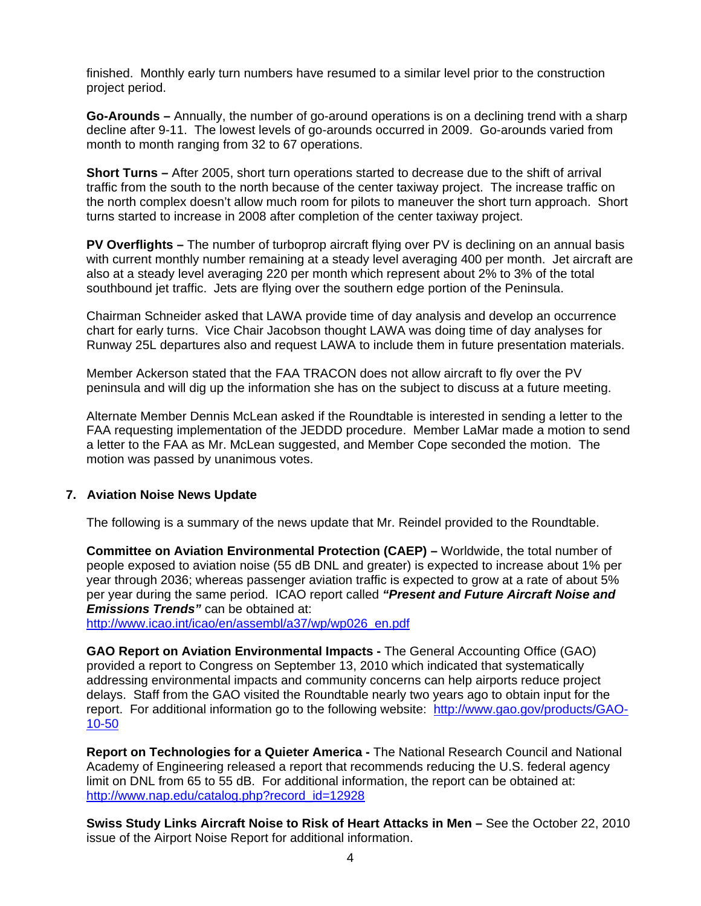finished. Monthly early turn numbers have resumed to a similar level prior to the construction project period.

**Go-Arounds –** Annually, the number of go-around operations is on a declining trend with a sharp decline after 9-11. The lowest levels of go-arounds occurred in 2009. Go-arounds varied from month to month ranging from 32 to 67 operations.

**Short Turns –** After 2005, short turn operations started to decrease due to the shift of arrival traffic from the south to the north because of the center taxiway project. The increase traffic on the north complex doesn't allow much room for pilots to maneuver the short turn approach. Short turns started to increase in 2008 after completion of the center taxiway project.

**PV Overflights –** The number of turboprop aircraft flying over PV is declining on an annual basis with current monthly number remaining at a steady level averaging 400 per month. Jet aircraft are also at a steady level averaging 220 per month which represent about 2% to 3% of the total southbound jet traffic. Jets are flying over the southern edge portion of the Peninsula.

Chairman Schneider asked that LAWA provide time of day analysis and develop an occurrence chart for early turns. Vice Chair Jacobson thought LAWA was doing time of day analyses for Runway 25L departures also and request LAWA to include them in future presentation materials.

Member Ackerson stated that the FAA TRACON does not allow aircraft to fly over the PV peninsula and will dig up the information she has on the subject to discuss at a future meeting.

Alternate Member Dennis McLean asked if the Roundtable is interested in sending a letter to the FAA requesting implementation of the JEDDD procedure. Member LaMar made a motion to send a letter to the FAA as Mr. McLean suggested, and Member Cope seconded the motion. The motion was passed by unanimous votes.

## **7. Aviation Noise News Update**

The following is a summary of the news update that Mr. Reindel provided to the Roundtable.

**Committee on Aviation Environmental Protection (CAEP) –** Worldwide, the total number of people exposed to aviation noise (55 dB DNL and greater) is expected to increase about 1% per year through 2036; whereas passenger aviation traffic is expected to grow at a rate of about 5% per year during the same period. ICAO report called *"Present and Future Aircraft Noise and Emissions Trends"* can be obtained at:

[http://www.icao.int/icao/en/assembl/a37/wp/wp026\\_en.pdf](http://www.icao.int/icao/en/assembl/a37/wp/wp026_en.pdf)

**GAO Report on Aviation Environmental Impacts -** The General Accounting Office (GAO) provided a report to Congress on September 13, 2010 which indicated that systematically addressing environmental impacts and community concerns can help airports reduce project delays. Staff from the GAO visited the Roundtable nearly two years ago to obtain input for the report. For additional information go to the following website: [http://www.gao.gov/products/GAO-](http://www.gao.gov/products/GAO-10-50)[10-50](http://www.gao.gov/products/GAO-10-50) 

**Report on Technologies for a Quieter America -** The National Research Council and National Academy of Engineering released a report that recommends reducing the U.S. federal agency limit on DNL from 65 to 55 dB. For additional information, the report can be obtained at: [http://www.nap.edu/catalog.php?record\\_id=12928](http://www.nap.edu/catalog.php?record_id=12928) 

**Swiss Study Links Aircraft Noise to Risk of Heart Attacks in Men –** See the October 22, 2010 issue of the Airport Noise Report for additional information.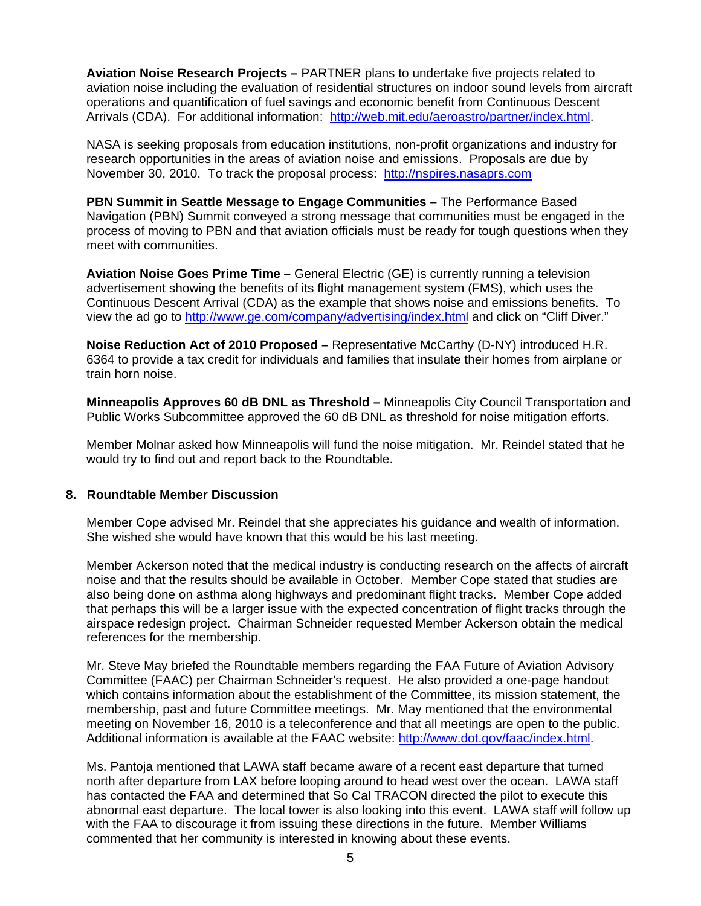**Aviation Noise Research Projects –** PARTNER plans to undertake five projects related to aviation noise including the evaluation of residential structures on indoor sound levels from aircraft operations and quantification of fuel savings and economic benefit from Continuous Descent Arrivals (CDA). For additional information: [http://web.mit.edu/aeroastro/partner/index.html.](http://web.mit.edu/aeroastro/partner/index.html)

NASA is seeking proposals from education institutions, non-profit organizations and industry for research opportunities in the areas of aviation noise and emissions. Proposals are due by November 30, 2010. To track the proposal process: [http://nspires.nasaprs.com](http://nspires.nasaprs.com/) 

**PBN Summit in Seattle Message to Engage Communities - The Performance Based** Navigation (PBN) Summit conveyed a strong message that communities must be engaged in the process of moving to PBN and that aviation officials must be ready for tough questions when they meet with communities.

**Aviation Noise Goes Prime Time –** General Electric (GE) is currently running a television advertisement showing the benefits of its flight management system (FMS), which uses the Continuous Descent Arrival (CDA) as the example that shows noise and emissions benefits. To view the ad go to <http://www.ge.com/company/advertising/index.html> and click on "Cliff Diver."

**Noise Reduction Act of 2010 Proposed –** Representative McCarthy (D-NY) introduced H.R. 6364 to provide a tax credit for individuals and families that insulate their homes from airplane or train horn noise.

**Minneapolis Approves 60 dB DNL as Threshold –** Minneapolis City Council Transportation and Public Works Subcommittee approved the 60 dB DNL as threshold for noise mitigation efforts.

Member Molnar asked how Minneapolis will fund the noise mitigation. Mr. Reindel stated that he would try to find out and report back to the Roundtable.

#### **8. Roundtable Member Discussion**

Member Cope advised Mr. Reindel that she appreciates his guidance and wealth of information. She wished she would have known that this would be his last meeting.

Member Ackerson noted that the medical industry is conducting research on the affects of aircraft noise and that the results should be available in October. Member Cope stated that studies are also being done on asthma along highways and predominant flight tracks. Member Cope added that perhaps this will be a larger issue with the expected concentration of flight tracks through the airspace redesign project. Chairman Schneider requested Member Ackerson obtain the medical references for the membership.

Mr. Steve May briefed the Roundtable members regarding the FAA Future of Aviation Advisory Committee (FAAC) per Chairman Schneider's request. He also provided a one-page handout which contains information about the establishment of the Committee, its mission statement, the membership, past and future Committee meetings. Mr. May mentioned that the environmental meeting on November 16, 2010 is a teleconference and that all meetings are open to the public. Additional information is available at the FAAC website: [http://www.dot.gov/faac/index.html.](http://www.dot.gov/faac/index.html)

Ms. Pantoja mentioned that LAWA staff became aware of a recent east departure that turned north after departure from LAX before looping around to head west over the ocean. LAWA staff has contacted the FAA and determined that So Cal TRACON directed the pilot to execute this abnormal east departure. The local tower is also looking into this event. LAWA staff will follow up with the FAA to discourage it from issuing these directions in the future. Member Williams commented that her community is interested in knowing about these events.